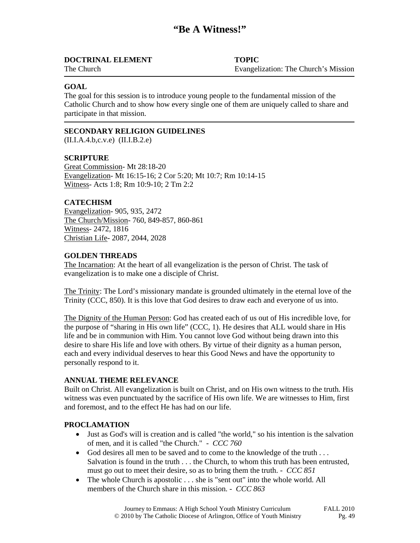## **DOCTRINAL ELEMENT TOPIC**

The Church Evangelization: The Church's Mission

### **GOAL**

The goal for this session is to introduce young people to the fundamental mission of the Catholic Church and to show how every single one of them are uniquely called to share and participate in that mission.

### **SECONDARY RELIGION GUIDELINES**

(II.I.A.4.b,c.v.e) (II.I.B.2.e)

### **SCRIPTURE**

Great Commission- Mt 28:18-20 Evangelization- Mt 16:15-16; 2 Cor 5:20; Mt 10:7; Rm 10:14-15 Witness- Acts 1:8; Rm 10:9-10; 2 Tm 2:2

### **CATECHISM**

Evangelization- 905, 935, 2472 The Church/Mission- 760, 849-857, 860-861 Witness- 2472, 1816 Christian Life- 2087, 2044, 2028

#### **GOLDEN THREADS**

The Incarnation: At the heart of all evangelization is the person of Christ. The task of evangelization is to make one a disciple of Christ.

The Trinity: The Lord's missionary mandate is grounded ultimately in the eternal love of the Trinity (CCC, 850). It is this love that God desires to draw each and everyone of us into.

The Dignity of the Human Person: God has created each of us out of His incredible love, for the purpose of "sharing in His own life" (CCC, 1). He desires that ALL would share in His life and be in communion with Him. You cannot love God without being drawn into this desire to share His life and love with others. By virtue of their dignity as a human person, each and every individual deserves to hear this Good News and have the opportunity to personally respond to it.

#### **ANNUAL THEME RELEVANCE**

Built on Christ. All evangelization is built on Christ, and on His own witness to the truth. His witness was even punctuated by the sacrifice of His own life. We are witnesses to Him, first and foremost, and to the effect He has had on our life.

#### **PROCLAMATION**

- Just as God's will is creation and is called "the world," so his intention is the salvation of men, and it is called "the Church." - *CCC 760*
- God desires all men to be saved and to come to the knowledge of the truth ... Salvation is found in the truth . . . the Church, to whom this truth has been entrusted, must go out to meet their desire, so as to bring them the truth. - *CCC 851*
- The whole Church is apostolic . . . she is "sent out" into the whole world. All members of the Church share in this mission. - *CCC 863*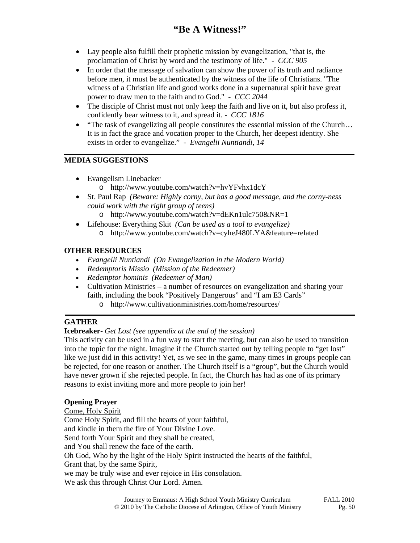- Lay people also fulfill their prophetic mission by evangelization, "that is, the proclamation of Christ by word and the testimony of life." - *CCC 905*
- In order that the message of salvation can show the power of its truth and radiance before men, it must be authenticated by the witness of the life of Christians. "The witness of a Christian life and good works done in a supernatural spirit have great power to draw men to the faith and to God." - *CCC 2044*
- The disciple of Christ must not only keep the faith and live on it, but also profess it, confidently bear witness to it, and spread it. - *CCC 1816*
- "The task of evangelizing all people constitutes the essential mission of the Church... It is in fact the grace and vocation proper to the Church, her deepest identity. She exists in order to evangelize." - *Evangelii Nuntiandi*, *14*

# **MEDIA SUGGESTIONS**

- Evangelism Linebacker
	- o http://www.youtube.com/watch?v=hvYFvhx1dcY
- St. Paul Rap *(Beware: Highly corny, but has a good message, and the corny-ness could work with the right group of teens)*
	- o http://www.youtube.com/watch?v=dEKn1ulc750&NR=1
- Lifehouse: Everything Skit *(Can be used as a tool to evangelize)* o http://www.youtube.com/watch?v=cyheJ480LYA&feature=related

## **OTHER RESOURCES**

- *Evangelli Nuntiandi (On Evangelization in the Modern World)*
- *Redemptoris Missio (Mission of the Redeemer)*
- *Redemptor hominis (Redeemer of Man)*
- Cultivation Ministries a number of resources on evangelization and sharing your faith, including the book "Positively Dangerous" and "I am E3 Cards"
	- o http://www.cultivationministries.com/home/resources/

# **GATHER**

# **Icebreaker-** *Get Lost (see appendix at the end of the session)*

This activity can be used in a fun way to start the meeting, but can also be used to transition into the topic for the night. Imagine if the Church started out by telling people to "get lost" like we just did in this activity! Yet, as we see in the game, many times in groups people can be rejected, for one reason or another. The Church itself is a "group", but the Church would have never grown if she rejected people. In fact, the Church has had as one of its primary reasons to exist inviting more and more people to join her!

### **Opening Prayer**

Come, Holy Spirit Come Holy Spirit, and fill the hearts of your faithful, and kindle in them the fire of Your Divine Love. Send forth Your Spirit and they shall be created, and You shall renew the face of the earth. Oh God, Who by the light of the Holy Spirit instructed the hearts of the faithful, Grant that, by the same Spirit, we may be truly wise and ever rejoice in His consolation. We ask this through Christ Our Lord. Amen.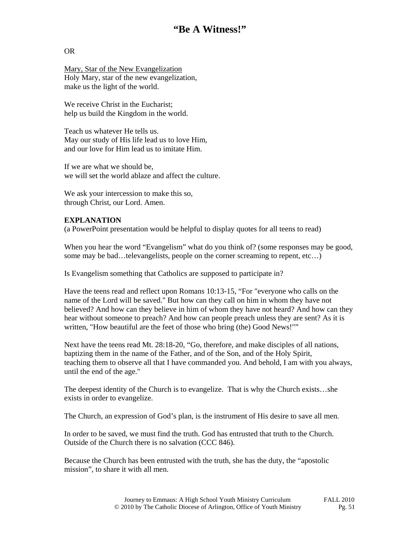## OR

Mary, Star of the New Evangelization Holy Mary, star of the new evangelization, make us the light of the world.

We receive Christ in the Eucharist: help us build the Kingdom in the world.

Teach us whatever He tells us. May our study of His life lead us to love Him, and our love for Him lead us to imitate Him.

If we are what we should be, we will set the world ablaze and affect the culture.

We ask your intercession to make this so, through Christ, our Lord. Amen.

### **EXPLANATION**

(a PowerPoint presentation would be helpful to display quotes for all teens to read)

When you hear the word "Evangelism" what do you think of? (some responses may be good, some may be bad…televangelists, people on the corner screaming to repent, etc...)

Is Evangelism something that Catholics are supposed to participate in?

Have the teens read and reflect upon Romans 10:13-15, "For "everyone who calls on the name of the Lord will be saved." But how can they call on him in whom they have not believed? And how can they believe in him of whom they have not heard? And how can they hear without someone to preach? And how can people preach unless they are sent? As it is written, "How beautiful are the feet of those who bring (the) Good News!""

Next have the teens read Mt. 28:18-20, "Go, therefore, and make disciples of all nations, baptizing them in the name of the Father, and of the Son, and of the Holy Spirit, teaching them to observe all that I have commanded you. And behold, I am with you always, until the end of the age."

The deepest identity of the Church is to evangelize. That is why the Church exists…she exists in order to evangelize.

The Church, an expression of God's plan, is the instrument of His desire to save all men.

In order to be saved, we must find the truth. God has entrusted that truth to the Church. Outside of the Church there is no salvation (CCC 846).

Because the Church has been entrusted with the truth, she has the duty, the "apostolic mission", to share it with all men.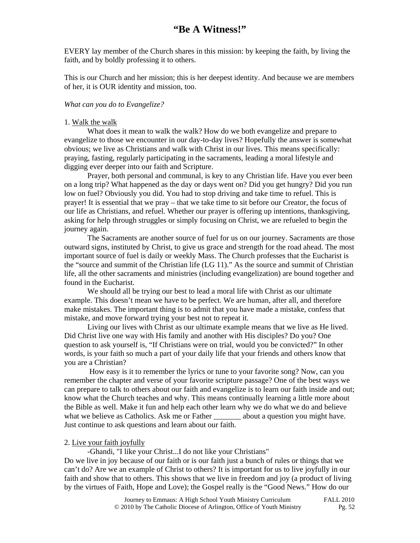EVERY lay member of the Church shares in this mission: by keeping the faith, by living the faith, and by boldly professing it to others.

This is our Church and her mission; this is her deepest identity. And because we are members of her, it is OUR identity and mission, too.

#### *What can you do to Evangelize?*

#### 1. Walk the walk

 What does it mean to walk the walk? How do we both evangelize and prepare to evangelize to those we encounter in our day-to-day lives? Hopefully the answer is somewhat obvious; we live as Christians and walk with Christ in our lives. This means specifically: praying, fasting, regularly participating in the sacraments, leading a moral lifestyle and digging ever deeper into our faith and Scripture.

Prayer, both personal and communal, is key to any Christian life. Have you ever been on a long trip? What happened as the day or days went on? Did you get hungry? Did you run low on fuel? Obviously you did. You had to stop driving and take time to refuel. This is prayer! It is essential that we pray – that we take time to sit before our Creator, the focus of our life as Christians, and refuel. Whether our prayer is offering up intentions, thanksgiving, asking for help through struggles or simply focusing on Christ, we are refueled to begin the journey again.

The Sacraments are another source of fuel for us on our journey. Sacraments are those outward signs, instituted by Christ, to give us grace and strength for the road ahead. The most important source of fuel is daily or weekly Mass. The Church professes that the Eucharist is the "source and summit of the Christian life (LG 11)." As the source and summit of Christian life, all the other sacraments and ministries (including evangelization) are bound together and found in the Eucharist.

We should all be trying our best to lead a moral life with Christ as our ultimate example. This doesn't mean we have to be perfect. We are human, after all, and therefore make mistakes. The important thing is to admit that you have made a mistake, confess that mistake, and move forward trying your best not to repeat it.

 Living our lives with Christ as our ultimate example means that we live as He lived. Did Christ live one way with His family and another with His disciples? Do you? One question to ask yourself is, "If Christians were on trial, would you be convicted?" In other words, is your faith so much a part of your daily life that your friends and others know that you are a Christian?

 How easy is it to remember the lyrics or tune to your favorite song? Now, can you remember the chapter and verse of your favorite scripture passage? One of the best ways we can prepare to talk to others about our faith and evangelize is to learn our faith inside and out; know what the Church teaches and why. This means continually learning a little more about the Bible as well. Make it fun and help each other learn why we do what we do and believe what we believe as Catholics. Ask me or Father  $\qquad$  about a question you might have. Just continue to ask questions and learn about our faith.

#### 2. Live your faith joyfully

-Ghandi, "I like your Christ...I do not like your Christians"

Do we live in joy because of our faith or is our faith just a bunch of rules or things that we can't do? Are we an example of Christ to others? It is important for us to live joyfully in our faith and show that to others. This shows that we live in freedom and joy (a product of living by the virtues of Faith, Hope and Love); the Gospel really is the "Good News." How do our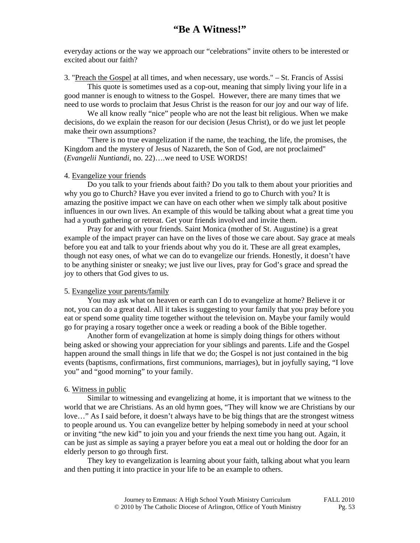everyday actions or the way we approach our "celebrations" invite others to be interested or excited about our faith?

3. "Preach the Gospel at all times, and when necessary, use words." – St. Francis of Assisi

 This quote is sometimes used as a cop-out, meaning that simply living your life in a good manner is enough to witness to the Gospel. However, there are many times that we need to use words to proclaim that Jesus Christ is the reason for our joy and our way of life.

 We all know really "nice" people who are not the least bit religious. When we make decisions, do we explain the reason for our decision (Jesus Christ), or do we just let people make their own assumptions?

 "There is no true evangelization if the name, the teaching, the life, the promises, the Kingdom and the mystery of Jesus of Nazareth, the Son of God, are not proclaimed" (*Evangelii Nuntiandi*, no. 22)….we need to USE WORDS!

#### 4. Evangelize your friends

 Do you talk to your friends about faith? Do you talk to them about your priorities and why you go to Church? Have you ever invited a friend to go to Church with you? It is amazing the positive impact we can have on each other when we simply talk about positive influences in our own lives. An example of this would be talking about what a great time you had a youth gathering or retreat. Get your friends involved and invite them.

 Pray for and with your friends. Saint Monica (mother of St. Augustine) is a great example of the impact prayer can have on the lives of those we care about. Say grace at meals before you eat and talk to your friends about why you do it. These are all great examples, though not easy ones, of what we can do to evangelize our friends. Honestly, it doesn't have to be anything sinister or sneaky; we just live our lives, pray for God's grace and spread the joy to others that God gives to us.

#### 5. Evangelize your parents/family

You may ask what on heaven or earth can I do to evangelize at home? Believe it or not, you can do a great deal. All it takes is suggesting to your family that you pray before you eat or spend some quality time together without the television on. Maybe your family would go for praying a rosary together once a week or reading a book of the Bible together.

Another form of evangelization at home is simply doing things for others without being asked or showing your appreciation for your siblings and parents. Life and the Gospel happen around the small things in life that we do; the Gospel is not just contained in the big events (baptisms, confirmations, first communions, marriages), but in joyfully saying, "I love you" and "good morning" to your family.

#### 6. Witness in public

Similar to witnessing and evangelizing at home, it is important that we witness to the world that we are Christians. As an old hymn goes, "They will know we are Christians by our love…" As I said before, it doesn't always have to be big things that are the strongest witness to people around us. You can evangelize better by helping somebody in need at your school or inviting "the new kid" to join you and your friends the next time you hang out. Again, it can be just as simple as saying a prayer before you eat a meal out or holding the door for an elderly person to go through first.

 They key to evangelization is learning about your faith, talking about what you learn and then putting it into practice in your life to be an example to others.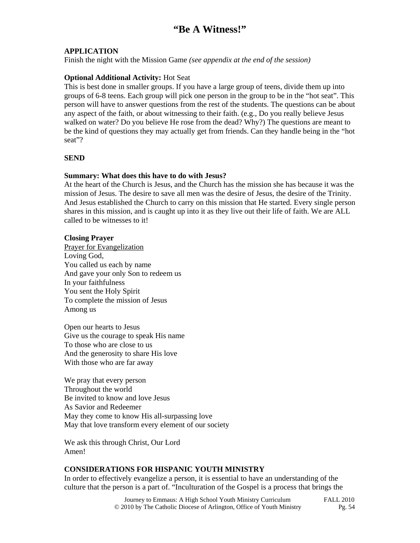### **APPLICATION**

Finish the night with the Mission Game *(see appendix at the end of the session)*

### **Optional Additional Activity:** Hot Seat

This is best done in smaller groups. If you have a large group of teens, divide them up into groups of 6-8 teens. Each group will pick one person in the group to be in the "hot seat". This person will have to answer questions from the rest of the students. The questions can be about any aspect of the faith, or about witnessing to their faith. (e.g., Do you really believe Jesus walked on water? Do you believe He rose from the dead? Why?) The questions are meant to be the kind of questions they may actually get from friends. Can they handle being in the "hot seat"?

### **SEND**

#### **Summary: What does this have to do with Jesus?**

At the heart of the Church is Jesus, and the Church has the mission she has because it was the mission of Jesus. The desire to save all men was the desire of Jesus, the desire of the Trinity. And Jesus established the Church to carry on this mission that He started. Every single person shares in this mission, and is caught up into it as they live out their life of faith. We are ALL called to be witnesses to it!

#### **Closing Prayer**

Prayer for Evangelization Loving God, You called us each by name And gave your only Son to redeem us In your faithfulness You sent the Holy Spirit To complete the mission of Jesus Among us

Open our hearts to Jesus Give us the courage to speak His name To those who are close to us And the generosity to share His love With those who are far away

We pray that every person Throughout the world Be invited to know and love Jesus As Savior and Redeemer May they come to know His all-surpassing love May that love transform every element of our society

We ask this through Christ, Our Lord Amen!

#### **CONSIDERATIONS FOR HISPANIC YOUTH MINISTRY**

In order to effectively evangelize a person, it is essential to have an understanding of the culture that the person is a part of. "Inculturation of the Gospel is a process that brings the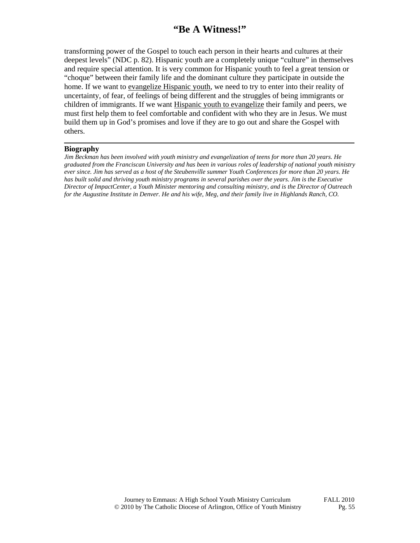transforming power of the Gospel to touch each person in their hearts and cultures at their deepest levels" (NDC p. 82). Hispanic youth are a completely unique "culture" in themselves and require special attention. It is very common for Hispanic youth to feel a great tension or "choque" between their family life and the dominant culture they participate in outside the home. If we want to evangelize Hispanic youth, we need to try to enter into their reality of uncertainty, of fear, of feelings of being different and the struggles of being immigrants or children of immigrants. If we want Hispanic youth to evangelize their family and peers, we must first help them to feel comfortable and confident with who they are in Jesus. We must build them up in God's promises and love if they are to go out and share the Gospel with others.

#### **Biography**

*Jim Beckman has been involved with youth ministry and evangelization of teens for more than 20 years. He graduated from the Franciscan University and has been in various roles of leadership of national youth ministry ever since. Jim has served as a host of the Steubenville summer Youth Conferences for more than 20 years. He has built solid and thriving youth ministry programs in several parishes over the years. Jim is the Executive Director of ImpactCenter, a Youth Minister mentoring and consulting ministry, and is the Director of Outreach for the Augustine Institute in Denver. He and his wife, Meg, and their family live in Highlands Ranch, CO.*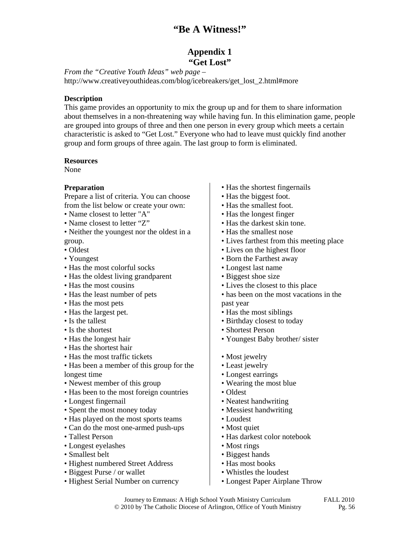# **Appendix 1 "Get Lost"**

*From the "Creative Youth Ideas" web page –*  http://www.creativeyouthideas.com/blog/icebreakers/get\_lost\_2.html#more

### **Description**

This game provides an opportunity to mix the group up and for them to share information about themselves in a non-threatening way while having fun. In this elimination game, people are grouped into groups of three and then one person in every group which meets a certain characteristic is asked to "Get Lost." Everyone who had to leave must quickly find another group and form groups of three again. The last group to form is eliminated.

#### **Resources**

None

### **Preparation**

Prepare a list of criteria. You can choose from the list below or create your own:

- Name closest to letter "A"
- Name closest to letter "Z"
- Neither the youngest nor the oldest in a group.
- Oldest
- Youngest
- Has the most colorful socks
- Has the oldest living grandparent
- Has the most cousins
- Has the least number of pets
- Has the most pets
- Has the largest pet.
- Is the tallest
- Is the shortest
- Has the longest hair
- Has the shortest hair
- Has the most traffic tickets
- Has been a member of this group for the longest time
- Newest member of this group
- Has been to the most foreign countries
- Longest fingernail
- Spent the most money today
- Has played on the most sports teams
- Can do the most one-armed push-ups
- Tallest Person
- Longest eyelashes
- Smallest belt
- Highest numbered Street Address
- Biggest Purse / or wallet
- Highest Serial Number on currency
- Has the shortest fingernails
- Has the biggest foot.
- Has the smallest foot.
- Has the longest finger
- Has the darkest skin tone.
- Has the smallest nose
- Lives farthest from this meeting place
- Lives on the highest floor
- Born the Farthest away
- Longest last name
- Biggest shoe size
- Lives the closest to this place
- has been on the most vacations in the past year
- Has the most siblings
- Birthday closest to today
- Shortest Person
- Youngest Baby brother/ sister
- Most jewelry
- Least jewelry
- Longest earrings
- Wearing the most blue
- Oldest
- Neatest handwriting
- Messiest handwriting
- Loudest
- Most quiet
- Has darkest color notebook
- Most rings
- Biggest hands
- Has most books
- Whistles the loudest
- Longest Paper Airplane Throw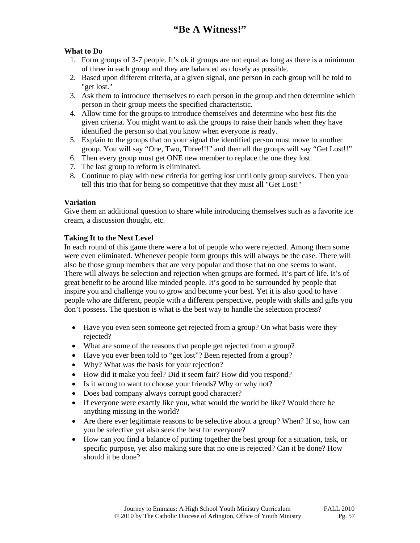# **What to Do**

- 1. Form groups of 3-7 people. It's ok if groups are not equal as long as there is a minimum of three in each group and they are balanced as closely as possible.
- 2. Based upon different criteria, at a given signal, one person in each group will be told to "get lost."
- 3. Ask them to introduce themselves to each person in the group and then determine which person in their group meets the specified characteristic.
- 4. Allow time for the groups to introduce themselves and determine who best fits the given criteria. You might want to ask the groups to raise their hands when they have identified the person so that you know when everyone is ready.
- 5. Explain to the groups that on your signal the identified person must move to another group. You will say "One, Two, Three!!!" and then all the groups will say "Get Lost!!"
- 6. Then every group must get ONE new member to replace the one they lost.
- 7. The last group to reform is eliminated.
- 8. Continue to play with new criteria for getting lost until only group survives. Then you tell this trio that for being so competitive that they must all "Get Lost!"

## **Variation**

Give them an additional question to share while introducing themselves such as a favorite ice cream, a discussion thought, etc.

## **Taking It to the Next Level**

In each round of this game there were a lot of people who were rejected. Among them some were even eliminated. Whenever people form groups this will always be the case. There will also be those group members that are very popular and those that no one seems to want. There will always be selection and rejection when groups are formed. It's part of life. It's of great benefit to be around like minded people. It's good to be surrounded by people that inspire you and challenge you to grow and become your best. Yet it is also good to have people who are different, people with a different perspective, people with skills and gifts you don't possess. The question is what is the best way to handle the selection process?

- Have you even seen someone get rejected from a group? On what basis were they rejected?
- What are some of the reasons that people get rejected from a group?
- Have you ever been told to "get lost"? Been rejected from a group?
- Why? What was the basis for your rejection?
- How did it make you feel? Did it seem fair? How did you respond?
- Is it wrong to want to choose your friends? Why or why not?
- Does bad company always corrupt good character?
- If everyone were exactly like you, what would the world be like? Would there be anything missing in the world?
- Are there ever legitimate reasons to be selective about a group? When? If so, how can you be selective yet also seek the best for everyone?
- How can you find a balance of putting together the best group for a situation, task, or specific purpose, yet also making sure that no one is rejected? Can it be done? How should it be done?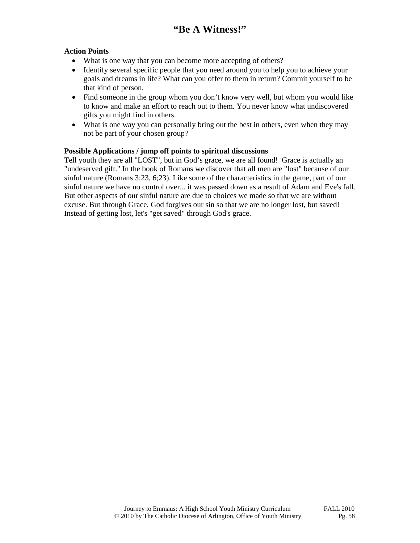# **Action Points**

- What is one way that you can become more accepting of others?
- Identify several specific people that you need around you to help you to achieve your goals and dreams in life? What can you offer to them in return? Commit yourself to be that kind of person.
- Find someone in the group whom you don't know very well, but whom you would like to know and make an effort to reach out to them. You never know what undiscovered gifts you might find in others.
- What is one way you can personally bring out the best in others, even when they may not be part of your chosen group?

## **Possible Applications / jump off points to spiritual discussions**

Tell youth they are all "LOST", but in God's grace, we are all found! Grace is actually an "undeserved gift." In the book of Romans we discover that all men are "lost" because of our sinful nature (Romans 3:23, 6;23). Like some of the characteristics in the game, part of our sinful nature we have no control over... it was passed down as a result of Adam and Eve's fall. But other aspects of our sinful nature are due to choices we made so that we are without excuse. But through Grace, God forgives our sin so that we are no longer lost, but saved! Instead of getting lost, let's "get saved" through God's grace.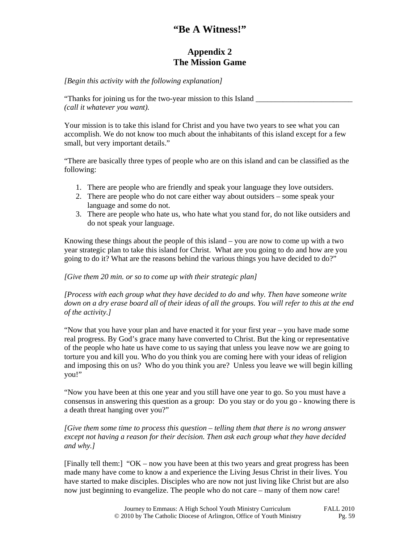# **Appendix 2 The Mission Game**

*[Begin this activity with the following explanation]* 

"Thanks for joining us for the two-year mission to this Island *(call it whatever you want).* 

Your mission is to take this island for Christ and you have two years to see what you can accomplish. We do not know too much about the inhabitants of this island except for a few small, but very important details."

"There are basically three types of people who are on this island and can be classified as the following:

- 1. There are people who are friendly and speak your language they love outsiders.
- 2. There are people who do not care either way about outsiders some speak your language and some do not.
- 3. There are people who hate us, who hate what you stand for, do not like outsiders and do not speak your language.

Knowing these things about the people of this island – you are now to come up with a two year strategic plan to take this island for Christ. What are you going to do and how are you going to do it? What are the reasons behind the various things you have decided to do?"

### *[Give them 20 min. or so to come up with their strategic plan]*

*[Process with each group what they have decided to do and why. Then have someone write down on a dry erase board all of their ideas of all the groups. You will refer to this at the end of the activity.]* 

"Now that you have your plan and have enacted it for your first year – you have made some real progress. By God's grace many have converted to Christ. But the king or representative of the people who hate us have come to us saying that unless you leave now we are going to torture you and kill you. Who do you think you are coming here with your ideas of religion and imposing this on us? Who do you think you are? Unless you leave we will begin killing you!"

"Now you have been at this one year and you still have one year to go. So you must have a consensus in answering this question as a group: Do you stay or do you go - knowing there is a death threat hanging over you?"

#### *[Give them some time to process this question – telling them that there is no wrong answer except not having a reason for their decision. Then ask each group what they have decided and why.]*

[Finally tell them:] "OK – now you have been at this two years and great progress has been made many have come to know a and experience the Living Jesus Christ in their lives. You have started to make disciples. Disciples who are now not just living like Christ but are also now just beginning to evangelize. The people who do not care – many of them now care!